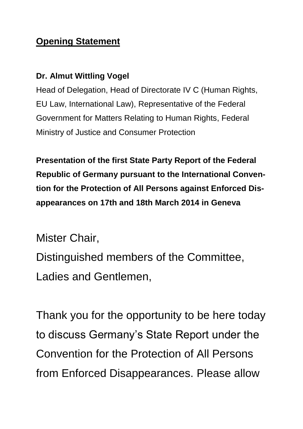## **Opening Statement**

## **Dr. Almut Wittling Vogel**

Head of Delegation, Head of Directorate IV C (Human Rights, EU Law, International Law), Representative of the Federal Government for Matters Relating to Human Rights, Federal Ministry of Justice and Consumer Protection

**Presentation of the first State Party Report of the Federal Republic of Germany pursuant to the International Convention for the Protection of All Persons against Enforced Disappearances on 17th and 18th March 2014 in Geneva**

Mister Chair,

Distinguished members of the Committee, Ladies and Gentlemen,

Thank you for the opportunity to be here today to discuss Germany's State Report under the Convention for the Protection of All Persons from Enforced Disappearances. Please allow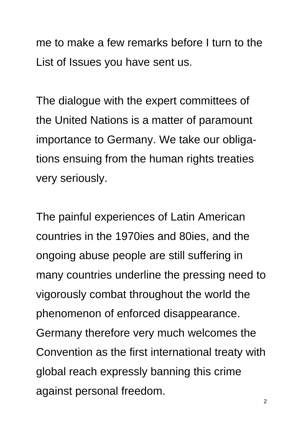me to make a few remarks before I turn to the List of Issues you have sent us.

The dialogue with the expert committees of the United Nations is a matter of paramount importance to Germany. We take our obligations ensuing from the human rights treaties very seriously.

The painful experiences of Latin American countries in the 1970ies and 80ies, and the ongoing abuse people are still suffering in many countries underline the pressing need to vigorously combat throughout the world the phenomenon of enforced disappearance. Germany therefore very much welcomes the Convention as the first international treaty with global reach expressly banning this crime against personal freedom.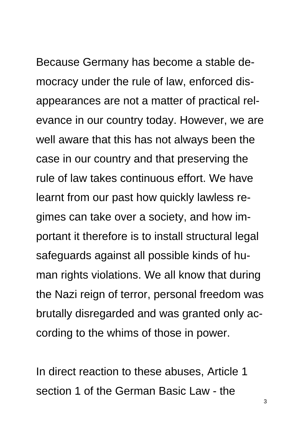Because Germany has become a stable democracy under the rule of law, enforced disappearances are not a matter of practical relevance in our country today. However, we are well aware that this has not always been the case in our country and that preserving the rule of law takes continuous effort. We have learnt from our past how quickly lawless regimes can take over a society, and how important it therefore is to install structural legal safeguards against all possible kinds of human rights violations. We all know that during the Nazi reign of terror, personal freedom was brutally disregarded and was granted only according to the whims of those in power.

In direct reaction to these abuses, Article 1 section 1 of the German Basic Law - the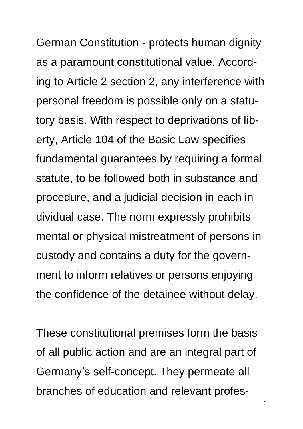German Constitution - protects human dignity as a paramount constitutional value. According to Article 2 section 2, any interference with personal freedom is possible only on a statutory basis. With respect to deprivations of liberty, Article 104 of the Basic Law specifies fundamental guarantees by requiring a formal statute, to be followed both in substance and procedure, and a judicial decision in each individual case. The norm expressly prohibits mental or physical mistreatment of persons in custody and contains a duty for the government to inform relatives or persons enjoying the confidence of the detainee without delay.

These constitutional premises form the basis of all public action and are an integral part of Germany's self-concept. They permeate all branches of education and relevant profes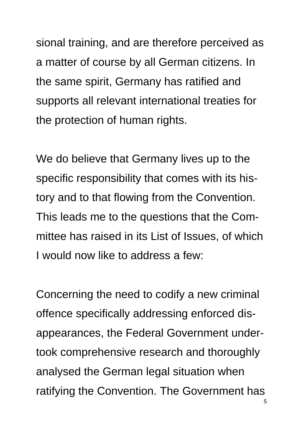sional training, and are therefore perceived as a matter of course by all German citizens. In the same spirit, Germany has ratified and supports all relevant international treaties for the protection of human rights.

We do believe that Germany lives up to the specific responsibility that comes with its history and to that flowing from the Convention. This leads me to the questions that the Committee has raised in its List of Issues, of which I would now like to address a few:

Concerning the need to codify a new criminal offence specifically addressing enforced disappearances, the Federal Government undertook comprehensive research and thoroughly analysed the German legal situation when ratifying the Convention. The Government has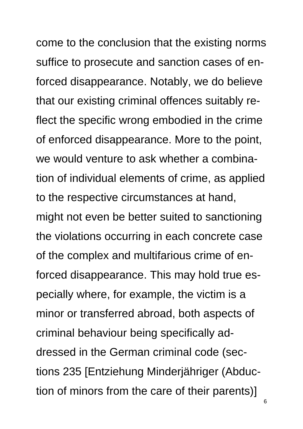come to the conclusion that the existing norms suffice to prosecute and sanction cases of enforced disappearance. Notably, we do believe that our existing criminal offences suitably reflect the specific wrong embodied in the crime of enforced disappearance. More to the point, we would venture to ask whether a combination of individual elements of crime, as applied to the respective circumstances at hand, might not even be better suited to sanctioning the violations occurring in each concrete case of the complex and multifarious crime of enforced disappearance. This may hold true especially where, for example, the victim is a minor or transferred abroad, both aspects of criminal behaviour being specifically addressed in the German criminal code (sections 235 [Entziehung Minderjähriger (Abduction of minors from the care of their parents)]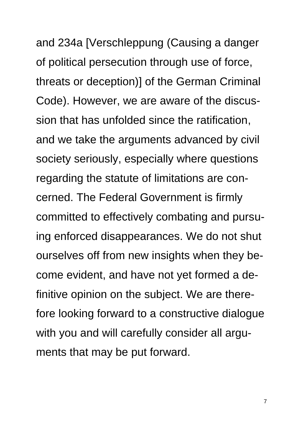and 234a [Verschleppung (Causing a danger of political persecution through use of force, threats or deception)] of the German Criminal Code). However, we are aware of the discussion that has unfolded since the ratification, and we take the arguments advanced by civil society seriously, especially where questions regarding the statute of limitations are concerned. The Federal Government is firmly committed to effectively combating and pursuing enforced disappearances. We do not shut ourselves off from new insights when they become evident, and have not yet formed a definitive opinion on the subject. We are therefore looking forward to a constructive dialogue with you and will carefully consider all arguments that may be put forward.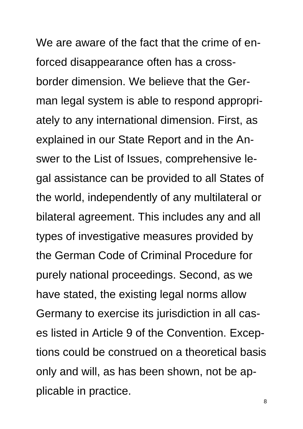We are aware of the fact that the crime of enforced disappearance often has a crossborder dimension. We believe that the German legal system is able to respond appropriately to any international dimension. First, as explained in our State Report and in the Answer to the List of Issues, comprehensive legal assistance can be provided to all States of the world, independently of any multilateral or bilateral agreement. This includes any and all types of investigative measures provided by the German Code of Criminal Procedure for purely national proceedings. Second, as we have stated, the existing legal norms allow Germany to exercise its jurisdiction in all cases listed in Article 9 of the Convention. Exceptions could be construed on a theoretical basis only and will, as has been shown, not be applicable in practice.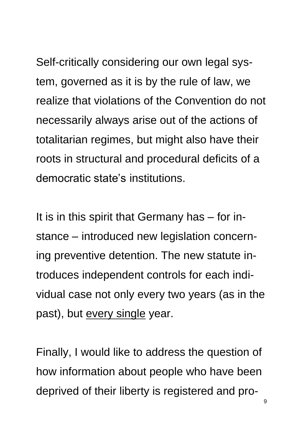Self-critically considering our own legal system, governed as it is by the rule of law, we realize that violations of the Convention do not necessarily always arise out of the actions of totalitarian regimes, but might also have their roots in structural and procedural deficits of a democratic state's institutions.

It is in this spirit that Germany has – for instance – introduced new legislation concerning preventive detention. The new statute introduces independent controls for each individual case not only every two years (as in the past), but every single year.

Finally, I would like to address the question of how information about people who have been deprived of their liberty is registered and pro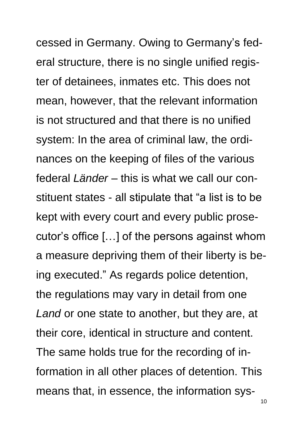cessed in Germany. Owing to Germany's federal structure, there is no single unified register of detainees, inmates etc. This does not mean, however, that the relevant information is not structured and that there is no unified system: In the area of criminal law, the ordinances on the keeping of files of the various federal *Länder* – this is what we call our constituent states - all stipulate that "a list is to be kept with every court and every public prosecutor's office […] of the persons against whom a measure depriving them of their liberty is being executed." As regards police detention, the regulations may vary in detail from one *Land* or one state to another, but they are, at their core, identical in structure and content. The same holds true for the recording of information in all other places of detention. This means that, in essence, the information sys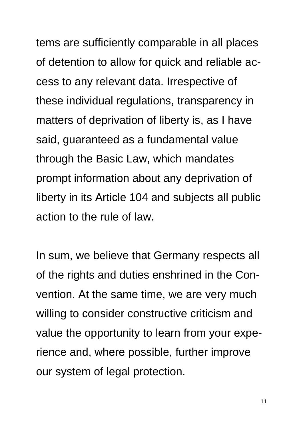tems are sufficiently comparable in all places of detention to allow for quick and reliable access to any relevant data. Irrespective of these individual regulations, transparency in matters of deprivation of liberty is, as I have said, guaranteed as a fundamental value through the Basic Law, which mandates prompt information about any deprivation of liberty in its Article 104 and subjects all public action to the rule of law.

In sum, we believe that Germany respects all of the rights and duties enshrined in the Convention. At the same time, we are very much willing to consider constructive criticism and value the opportunity to learn from your experience and, where possible, further improve our system of legal protection.